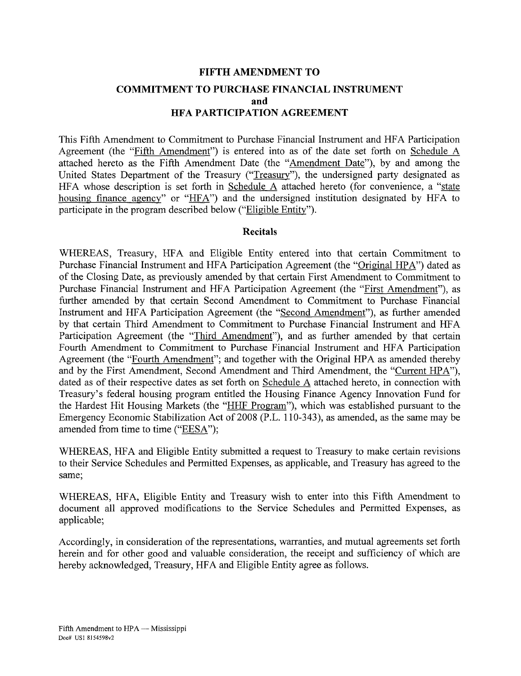## **FIFTH AMENDMENT TO COMMITMENT TO PURCHASE FINANCIAL INSTRUMENT and HFA PARTICIPATION AGREEMENT**

This Fifth Amendment to Commitment to Purchase Financial Instrument and HFA Participation Agreement (the "Fifth Amendment") is entered into as of the date set forth on Schedule A attached hereto as the Fifth Amendment Date (the "Amendment Date"), by and among the United States Department of the Treasury ("Treasury"), the undersigned party designated as HFA whose description is set forth in Schedule A attached hereto (for convenience, a "state housing finance agency" or "HFA") and the undersigned institution designated by HFA to participate in the program described below ("Eligible Entity").

#### **Recitals**

WHEREAS, Treasury, HFA and Eligible Entity entered into that certain Commitment to Purchase Financial Instrument and HFA Participation Agreement (the "Original HPA") dated as of the Closing Date, as previously amended by that certain First Amendment to Commitment to Purchase Financial Instrument and HFA Participation Agreement (the "First Amendment"), as further amended by that certain Second Amendment to Commitment to Purchase Financial Instrument and HFA Participation Agreement (the "Second Amendment"), as further amended by that certain Third Amendment to Commitment to Purchase Financial Instrument and HFA Participation Agreement (the "Third Amendment"), and as further amended by that certain Fourth Amendment to Commitment to Purchase Financial Instrument and HFA Participation Agreement (the "Fourth Amendment"; and together with the Original HPA as amended thereby and by the First Amendment, Second Amendment and Third Amendment, the "Current HPA"), dated as of their respective dates as set forth on Schedule A attached hereto, in connection with Treasury's federal housing program entitled the Housing Finance Agency Innovation Fund for the Hardest Hit Housing Markets (the "HHF Program"), which was established pursuant to the Emergency Economic Stabilization Act of 2008 (P.L. 110-343), as amended, as the same may be amended from time to time ("EESA");

WHEREAS, HFA and Eligible Entity submitted a request to Treasury to make certain revisions to their Service Schedules and Permitted Expenses, as applicable, and Treasury has agreed to the same;

WHEREAS, HFA, Eligible Entity and Treasury wish to enter into this Fifth Amendment to document all approved modifications to the Service Schedules and Permitted Expenses, as applicable;

Accordingly, in consideration of the representations, warranties, and mutual agreements set forth herein and for other good and valuable consideration, the receipt and sufficiency of which are hereby acknowledged, Treasury, HFA and Eligible Entity agree as follows.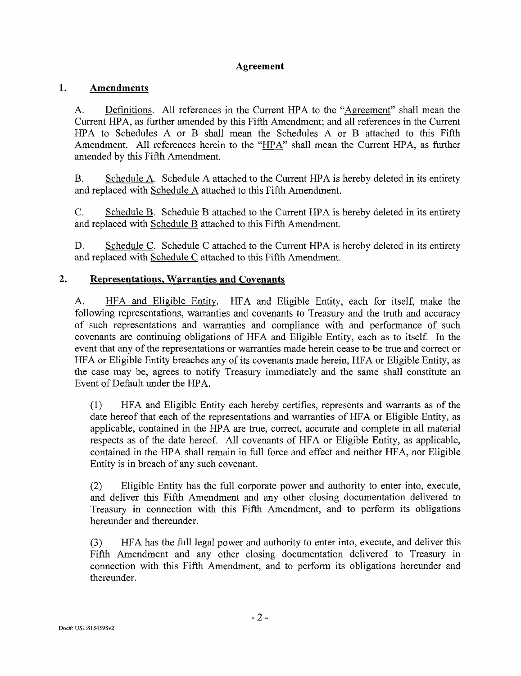## **Agreement**

#### 1. **Amendments**

A. Definitions. All references in the Current HPA to the "Agreement" shall mean the Current HPA, as further amended by this Fifth Amendment; and all references in the Current HPA to Schedules A or B shall mean the Schedules A or B attached to this Fifth Amendment. All references herein to the "HPA" shall mean the Current HPA, as further amended by this Fifth Amendment.

B. Schedule A. Schedule A attached to the Current HPA is hereby deleted in its entirety and replaced with Schedule A attached to this Fifth Amendment.

C. Schedule B. Schedule B attached to the Current HPA is hereby deleted in its entirety and replaced with Schedule B attached to this Fifth Amendment.

D. Schedule C. Schedule C attached to the Current HPA is hereby deleted in its entirety and replaced with Schedule C attached to this Fifth Amendment.

#### $2.$ **Representations, Warranties and Covenants**

A. HFA and Eligible Entity. HFA and Eligible Entity, each for itself, make the following representations, warranties and covenants to Treasury and the truth and accuracy of such representations and warranties and compliance with and performance of such covenants are continuing obligations of HFA and Eligible Entity, each as to itself. In the event that any of the representations or warranties made herein cease to be true and correct or HFA or Eligible Entity breaches any of its covenants made herein, HFA or Eligible Entity, as the case may be, agrees to notify Treasury immediately and the same shall constitute an Event of Default under the HPA.

(1) HFA and Eligible Entity each hereby certifies, represents and warrants as of the date hereof that each of the representations and warranties of HFA or Eligible Entity, as applicable, contained in the HPA are true, correct, accurate and complete in all material respects as of the date hereof. All covenants of HFA or Eligible Entity, as applicable, contained in the HPA shall remain in full force and effect and neither HFA, nor Eligible Entity is in breach of any such covenant.

(2) Eligible Entity has the full corporate power and authority to enter into, execute, and deliver this Fifth Amendment and any other closing documentation delivered to Treasury in connection with this Fifth Amendment, and to perform its obligations hereunder and thereunder.

(3) HFA has the full legal power and authority to enter into, execute, and deliver this Fifth Amendment and any other closing documentation delivered to Treasury in connection with this Fifth Amendment, and to perform its obligations hereunder and thereunder.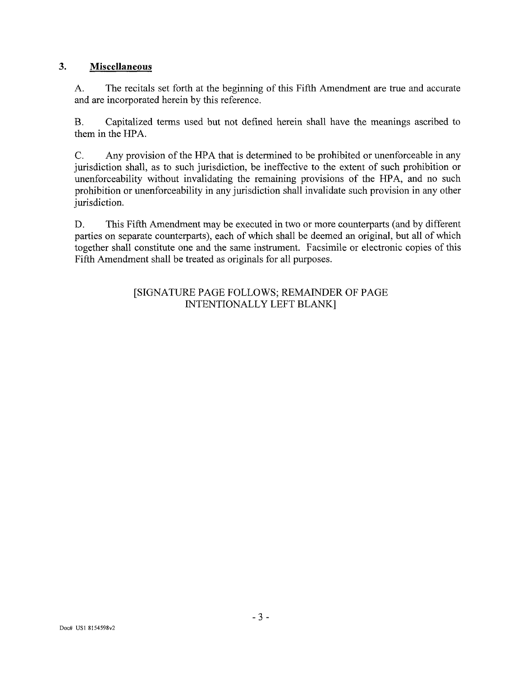#### 3. **Miscellaneous**

A. The recitals set forth at the beginning of this Fifth Amendment are true and accurate and are incorporated herein by this reference.

B. Capitalized terms used but not defined herein shall have the meanings ascribed to them in the HPA.

C. Any provision of the HPA that is determined to be prohibited or unenforceable in any jurisdiction shall, as to such jurisdiction, be ineffective to the extent of such prohibition or unenforceability without invalidating the remaining provisions of the HPA, and no such prohibition or unenforceability in any jurisdiction shall invalidate such provision in any other jurisdiction.

D. This Fifth Amendment may be executed in two or more counterparts (and by different parties on separate counterparts), each of which shall be deemed an original, but all of which together shall constitute one and the same instrument. Facsimile or electronic copies of this Fifth Amendment shall be treated as originals for all purposes.

## [SIGNATURE PAGE FOLLOWS; REMAINDER OF PAGE INTENTIONALLY LEFT BLANK]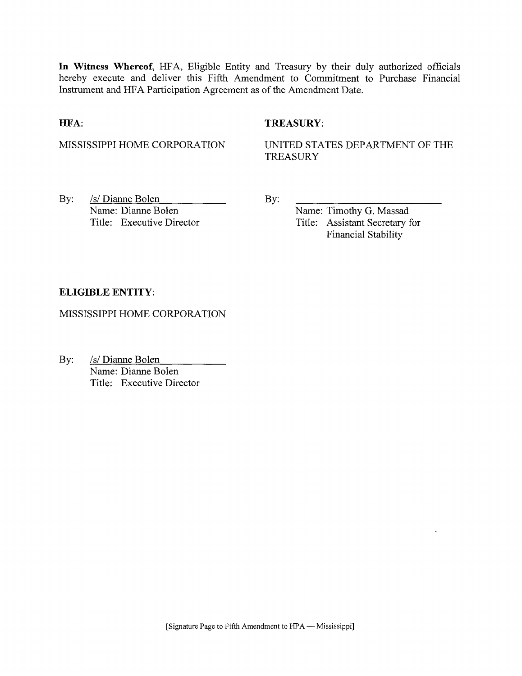**In Witness Whereof,** HFA, Eligible Entity and Treasury by their duly authorized officials hereby execute and deliver this Fifth Amendment to Commitment to Purchase Financial Instrument and HFA Participation Agreement as of the Amendment Date.

#### **HFA:**

### **TREASURY:**

MISSISSIPPI HOME CORPORATION

UNITED STATES DEPARTMENT OF THE **TREASURY** 

By: /s/ Dianne Bolen Name: Dianne Bolen Title: Executive Director By:

Name: Timothy G. Massad Title: Assistant Secretary for Financial Stability

### **ELIGIBLE ENTITY:**

MISSISSIPPI HOME CORPORATION

By: /s/ Dianne Bolen Name: Dianne Bolen Title: Executive Director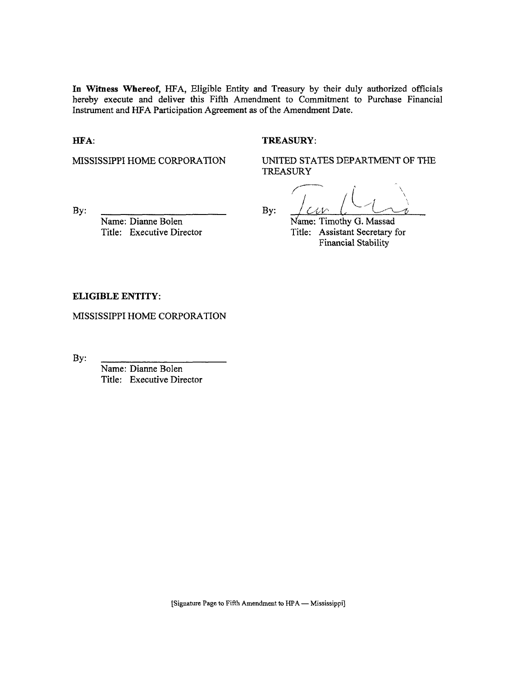**In Witness Whereof,** *HFA,* Eligible Entity and Treasury by their duly authorized officials hereby execute and deliver this Fifth Amendment to Commitment to Purchase Financial Instrument and HFA Participation Agreement as of the Amendment Date.

HFA:

#### TREASURY:

MISSISSIPPI HOME CORPORATION

UNITED STATES DEPARTMENT OF THE TREASURY

By:

Name: Dianne Bolen Title: Executive Director

**/""**  By:  $\angle$ CIV L<sup>-</sup>C/

Name: Timothy G. Massad Title: Assistant Secretary for Financial Stability

#### **ELIGIBLE ENTITY:**

MISSISSIPPI HOME CORPORATION

By:

Name: Dianne Bolen Title: Executive Director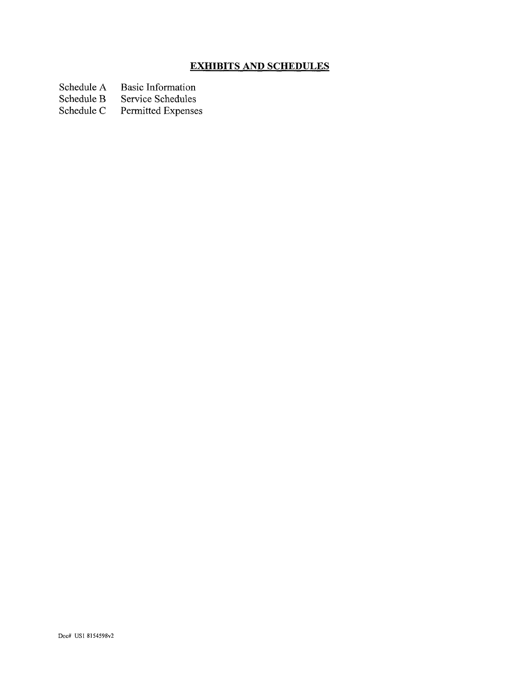## **EXHIBITS AND SCHEDULES**

Schedule A Basic Information<br>Schedule B Service Schedules

Schedule B Service Schedules<br>Schedule C Permitted Expense

Permitted Expenses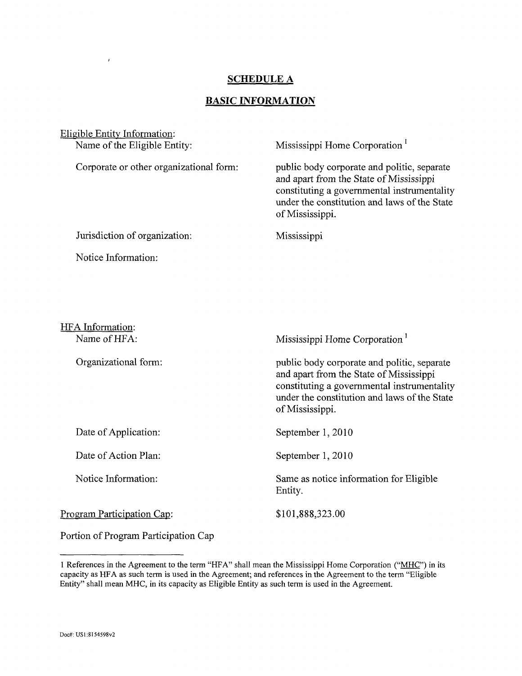## **SCHEDULE A**

## **BASIC INFORMATION**

| Eligible Entity Information:            |                                                                                                                                                                                                          |  |
|-----------------------------------------|----------------------------------------------------------------------------------------------------------------------------------------------------------------------------------------------------------|--|
| Name of the Eligible Entity:            | Mississippi Home Corporation                                                                                                                                                                             |  |
| Corporate or other organizational form: | public body corporate and politic, separate<br>and apart from the State of Mississippi<br>constituting a governmental instrumentality<br>under the constitution and laws of the State<br>of Mississippi. |  |
| Jurisdiction of organization:           | Mississippi                                                                                                                                                                                              |  |
| Notice Information:                     |                                                                                                                                                                                                          |  |
| HFA Information:<br>Name of HFA:        | Mississippi Home Corporation <sup>1</sup>                                                                                                                                                                |  |
|                                         |                                                                                                                                                                                                          |  |
| Organizational form:                    | public body corporate and politic, separate<br>and apart from the State of Mississippi<br>constituting a governmental instrumentality<br>under the constitution and laws of the State<br>of Mississippi. |  |
| Date of Application:                    | September 1, 2010                                                                                                                                                                                        |  |
| Date of Action Plan:                    | September 1, 2010                                                                                                                                                                                        |  |
| Notice Information:                     | Same as notice information for Eligible<br>Entity.                                                                                                                                                       |  |
| Program Participation Cap:              | \$101,888,323.00                                                                                                                                                                                         |  |
| Portion of Program Participation Cap    |                                                                                                                                                                                                          |  |

1 References in the Agreement to the term "HFA" shall mean the Mississippi Home Corporation ("MHC") in its capacity as HFA as such term is used in the Agreement; and references in the Agreement to the term "Eligible Entity" shall mean MHC, in its capacity as Eligible Entity as such term is used in the Agreement.

 $\bar{t}$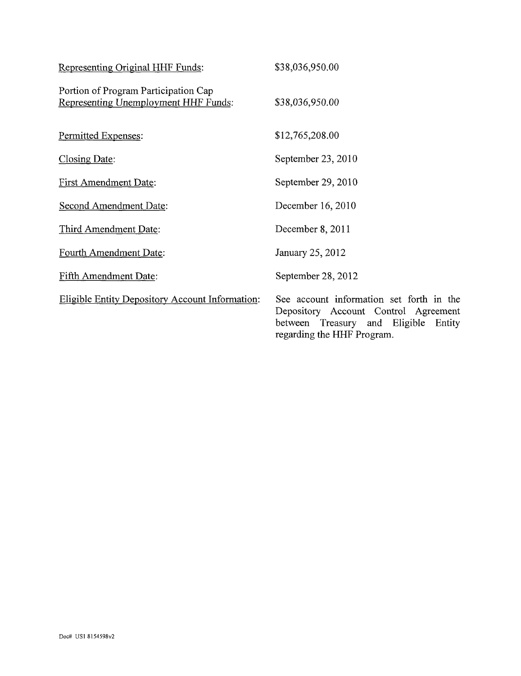| Representing Original HHF Funds:                                             | \$38,036,950.00                                                                                                                                           |
|------------------------------------------------------------------------------|-----------------------------------------------------------------------------------------------------------------------------------------------------------|
| Portion of Program Participation Cap<br>Representing Unemployment HHF Funds: | \$38,036,950.00                                                                                                                                           |
| Permitted Expenses:                                                          | \$12,765,208.00                                                                                                                                           |
| <b>Closing Date:</b>                                                         | September 23, 2010                                                                                                                                        |
| First Amendment Date:                                                        | September 29, 2010                                                                                                                                        |
| <b>Second Amendment Date:</b>                                                | December 16, 2010                                                                                                                                         |
| Third Amendment Date:                                                        | December 8, 2011                                                                                                                                          |
| Fourth Amendment Date:                                                       | January 25, 2012                                                                                                                                          |
| Fifth Amendment Date:                                                        | September 28, 2012                                                                                                                                        |
| <b>Eligible Entity Depository Account Information:</b>                       | See account information set forth in the<br>Depository Account Control Agreement<br>between Treasury and Eligible<br>Entity<br>regarding the HHF Program. |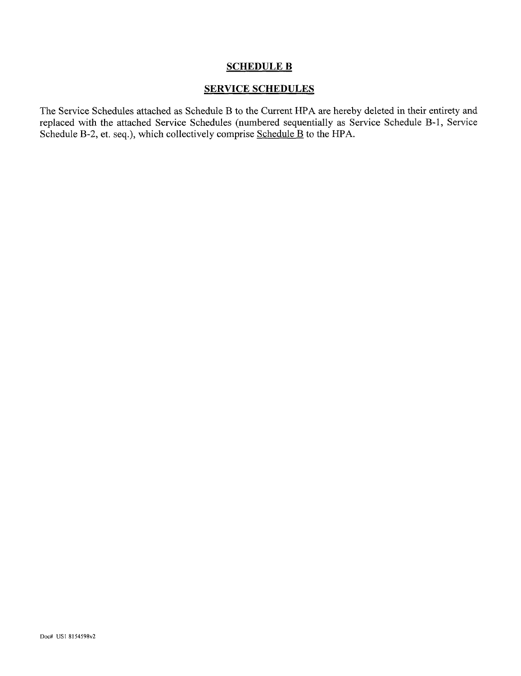#### SCHEDULE B

### SERVICE SCHEDULES

The Service Schedules attached as Schedule B to the Current HPA are hereby deleted in their entirety and replaced with the attached Service Schedules (numbered sequentially as Service Schedule B-l, Service Schedule B-2, et. seq.), which collectively comprise Schedule B to the HPA.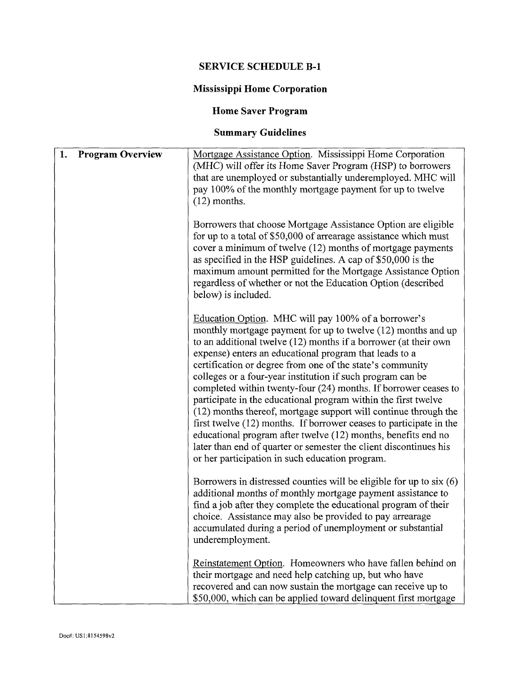# **SERVICE SCHEDULE B-l**

# **Mississippi Home Corporation**

# **Home Saver Program**

# **Summary Guidelines**

| 1.<br><b>Program Overview</b> | Mortgage Assistance Option. Mississippi Home Corporation<br>(MHC) will offer its Home Saver Program (HSP) to borrowers<br>that are unemployed or substantially underemployed. MHC will<br>pay 100% of the monthly mortgage payment for up to twelve<br>$(12)$ months.                                                                                                                                                                                                                                                                                                                                                                                                                                                                                                                                                                              |
|-------------------------------|----------------------------------------------------------------------------------------------------------------------------------------------------------------------------------------------------------------------------------------------------------------------------------------------------------------------------------------------------------------------------------------------------------------------------------------------------------------------------------------------------------------------------------------------------------------------------------------------------------------------------------------------------------------------------------------------------------------------------------------------------------------------------------------------------------------------------------------------------|
|                               | Borrowers that choose Mortgage Assistance Option are eligible<br>for up to a total of \$50,000 of arrearage assistance which must<br>cover a minimum of twelve (12) months of mortgage payments<br>as specified in the HSP guidelines. A cap of \$50,000 is the<br>maximum amount permitted for the Mortgage Assistance Option<br>regardless of whether or not the Education Option (described<br>below) is included.                                                                                                                                                                                                                                                                                                                                                                                                                              |
|                               | Education Option. MHC will pay 100% of a borrower's<br>monthly mortgage payment for up to twelve (12) months and up<br>to an additional twelve (12) months if a borrower (at their own<br>expense) enters an educational program that leads to a<br>certification or degree from one of the state's community<br>colleges or a four-year institution if such program can be<br>completed within twenty-four (24) months. If borrower ceases to<br>participate in the educational program within the first twelve<br>(12) months thereof, mortgage support will continue through the<br>first twelve (12) months. If borrower ceases to participate in the<br>educational program after twelve (12) months, benefits end no<br>later than end of quarter or semester the client discontinues his<br>or her participation in such education program. |
|                               | Borrowers in distressed counties will be eligible for up to $s$ ix $(6)$<br>additional months of monthly mortgage payment assistance to<br>find a job after they complete the educational program of their<br>choice. Assistance may also be provided to pay arrearage<br>accumulated during a period of unemployment or substantial<br>underemployment.                                                                                                                                                                                                                                                                                                                                                                                                                                                                                           |
|                               | Reinstatement Option. Homeowners who have fallen behind on<br>their mortgage and need help catching up, but who have<br>recovered and can now sustain the mortgage can receive up to<br>\$50,000, which can be applied toward delinquent first mortgage                                                                                                                                                                                                                                                                                                                                                                                                                                                                                                                                                                                            |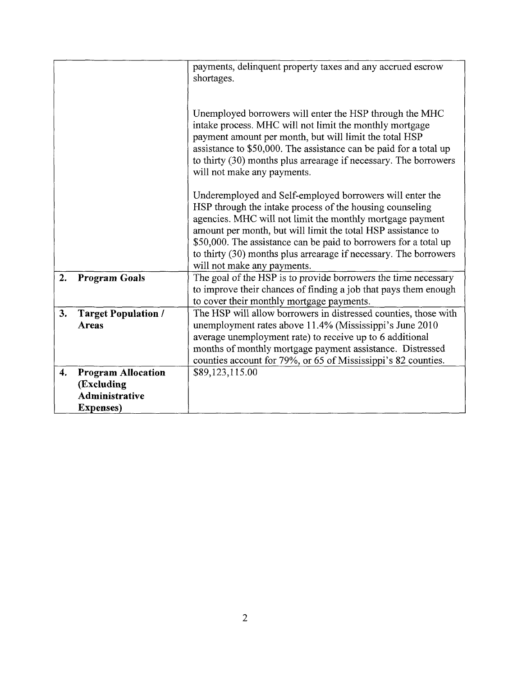|    |                                                                                       | payments, delinquent property taxes and any accrued escrow<br>shortages.                                                                                                                                                                                                                                                                                                                                                 |
|----|---------------------------------------------------------------------------------------|--------------------------------------------------------------------------------------------------------------------------------------------------------------------------------------------------------------------------------------------------------------------------------------------------------------------------------------------------------------------------------------------------------------------------|
|    |                                                                                       | Unemployed borrowers will enter the HSP through the MHC<br>intake process. MHC will not limit the monthly mortgage<br>payment amount per month, but will limit the total HSP<br>assistance to \$50,000. The assistance can be paid for a total up<br>to thirty (30) months plus arrearage if necessary. The borrowers<br>will not make any payments.                                                                     |
|    |                                                                                       | Underemployed and Self-employed borrowers will enter the<br>HSP through the intake process of the housing counseling<br>agencies. MHC will not limit the monthly mortgage payment<br>amount per month, but will limit the total HSP assistance to<br>\$50,000. The assistance can be paid to borrowers for a total up<br>to thirty (30) months plus arrearage if necessary. The borrowers<br>will not make any payments. |
| 2. | <b>Program Goals</b>                                                                  | The goal of the HSP is to provide borrowers the time necessary<br>to improve their chances of finding a job that pays them enough<br>to cover their monthly mortgage payments.                                                                                                                                                                                                                                           |
| 3. | <b>Target Population /</b><br>Areas                                                   | The HSP will allow borrowers in distressed counties, those with<br>unemployment rates above 11.4% (Mississippi's June 2010<br>average unemployment rate) to receive up to 6 additional<br>months of monthly mortgage payment assistance. Distressed<br>counties account for 79%, or 65 of Mississippi's 82 counties.                                                                                                     |
| 4. | <b>Program Allocation</b><br>(Excluding<br><b>Administrative</b><br><b>Expenses</b> ) | \$89,123,115.00                                                                                                                                                                                                                                                                                                                                                                                                          |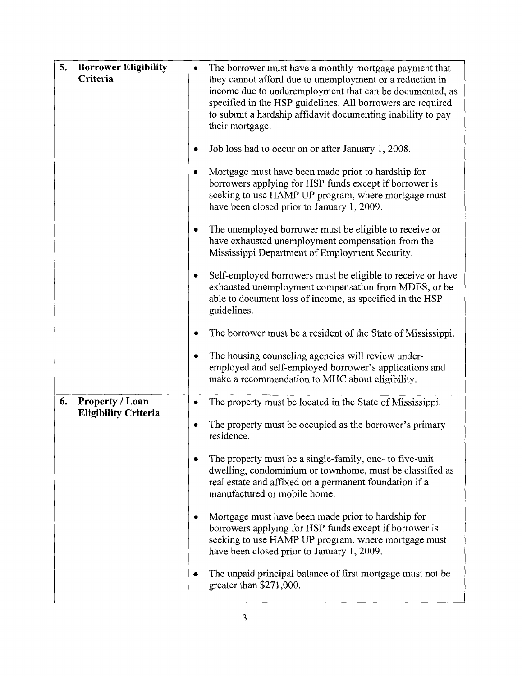| 5.<br><b>Borrower Eligibility</b><br>Criteria               | The borrower must have a monthly mortgage payment that<br>they cannot afford due to unemployment or a reduction in<br>income due to underemployment that can be documented, as<br>specified in the HSP guidelines. All borrowers are required<br>to submit a hardship affidavit documenting inability to pay<br>their mortgage.<br>Job loss had to occur on or after January 1, 2008.<br>٠<br>Mortgage must have been made prior to hardship for<br>۰ |
|-------------------------------------------------------------|-------------------------------------------------------------------------------------------------------------------------------------------------------------------------------------------------------------------------------------------------------------------------------------------------------------------------------------------------------------------------------------------------------------------------------------------------------|
|                                                             | borrowers applying for HSP funds except if borrower is<br>seeking to use HAMP UP program, where mortgage must<br>have been closed prior to January 1, 2009.                                                                                                                                                                                                                                                                                           |
|                                                             | The unemployed borrower must be eligible to receive or<br>٠<br>have exhausted unemployment compensation from the<br>Mississippi Department of Employment Security.                                                                                                                                                                                                                                                                                    |
|                                                             | Self-employed borrowers must be eligible to receive or have<br>٠<br>exhausted unemployment compensation from MDES, or be<br>able to document loss of income, as specified in the HSP<br>guidelines.                                                                                                                                                                                                                                                   |
|                                                             | The borrower must be a resident of the State of Mississippi.                                                                                                                                                                                                                                                                                                                                                                                          |
|                                                             | The housing counseling agencies will review under-<br>٠<br>employed and self-employed borrower's applications and<br>make a recommendation to MHC about eligibility.                                                                                                                                                                                                                                                                                  |
| 6.<br><b>Property / Loan</b><br><b>Eligibility Criteria</b> | The property must be located in the State of Mississippi.<br>۰                                                                                                                                                                                                                                                                                                                                                                                        |
|                                                             | The property must be occupied as the borrower's primary<br>residence.                                                                                                                                                                                                                                                                                                                                                                                 |
|                                                             | The property must be a single-family, one- to five-unit<br>dwelling, condominium or townhome, must be classified as<br>real estate and affixed on a permanent foundation if a<br>manufactured or mobile home.                                                                                                                                                                                                                                         |
|                                                             | Mortgage must have been made prior to hardship for<br>borrowers applying for HSP funds except if borrower is<br>seeking to use HAMP UP program, where mortgage must<br>have been closed prior to January 1, 2009.                                                                                                                                                                                                                                     |
|                                                             | The unpaid principal balance of first mortgage must not be<br>greater than \$271,000.                                                                                                                                                                                                                                                                                                                                                                 |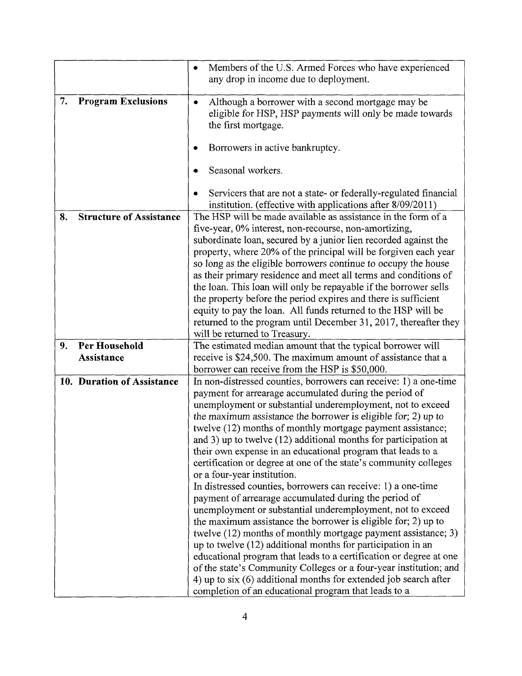|    |                                | Members of the U.S. Armed Forces who have experienced              |  |
|----|--------------------------------|--------------------------------------------------------------------|--|
|    |                                | any drop in income due to deployment.                              |  |
|    |                                |                                                                    |  |
| 7. | <b>Program Exclusions</b>      | Although a borrower with a second mortgage may be                  |  |
|    |                                | eligible for HSP, HSP payments will only be made towards           |  |
|    |                                | the first mortgage.                                                |  |
|    |                                |                                                                    |  |
|    |                                | Borrowers in active bankruptcy.                                    |  |
|    |                                |                                                                    |  |
|    |                                | Seasonal workers.                                                  |  |
|    |                                |                                                                    |  |
|    |                                | Servicers that are not a state- or federally-regulated financial   |  |
|    |                                | institution. (effective with applications after 8/09/2011)         |  |
| 8. | <b>Structure of Assistance</b> | The HSP will be made available as assistance in the form of a      |  |
|    |                                | five-year, 0% interest, non-recourse, non-amortizing,              |  |
|    |                                | subordinate loan, secured by a junior lien recorded against the    |  |
|    |                                | property, where 20% of the principal will be forgiven each year    |  |
|    |                                | so long as the eligible borrowers continue to occupy the house     |  |
|    |                                | as their primary residence and meet all terms and conditions of    |  |
|    |                                | the loan. This loan will only be repayable if the borrower sells   |  |
|    |                                | the property before the period expires and there is sufficient     |  |
|    |                                | equity to pay the loan. All funds returned to the HSP will be      |  |
|    |                                | returned to the program until December 31, 2017, thereafter they   |  |
|    |                                | will be returned to Treasury.                                      |  |
| 9. | Per Household                  | The estimated median amount that the typical borrower will         |  |
|    | <b>Assistance</b>              | receive is \$24,500. The maximum amount of assistance that a       |  |
|    |                                | borrower can receive from the HSP is \$50,000.                     |  |
|    | 10. Duration of Assistance     | In non-distressed counties, borrowers can receive: 1) a one-time   |  |
|    |                                | payment for arrearage accumulated during the period of             |  |
|    |                                | unemployment or substantial underemployment, not to exceed         |  |
|    |                                | the maximum assistance the borrower is eligible for; 2) up to      |  |
|    |                                | twelve (12) months of monthly mortgage payment assistance;         |  |
|    |                                | and 3) up to twelve $(12)$ additional months for participation at  |  |
|    |                                | their own expense in an educational program that leads to a        |  |
|    |                                | certification or degree at one of the state's community colleges   |  |
|    |                                | or a four-year institution.                                        |  |
|    |                                | In distressed counties, borrowers can receive: 1) a one-time       |  |
|    |                                | payment of arrearage accumulated during the period of              |  |
|    |                                | unemployment or substantial underemployment, not to exceed         |  |
|    |                                | the maximum assistance the borrower is eligible for; 2) up to      |  |
|    |                                |                                                                    |  |
|    |                                | twelve (12) months of monthly mortgage payment assistance; 3)      |  |
|    |                                | up to twelve (12) additional months for participation in an        |  |
|    |                                | educational program that leads to a certification or degree at one |  |
|    |                                | of the state's Community Colleges or a four-year institution; and  |  |
|    |                                | 4) up to $six(6)$ additional months for extended job search after  |  |
|    |                                | completion of an educational program that leads to a               |  |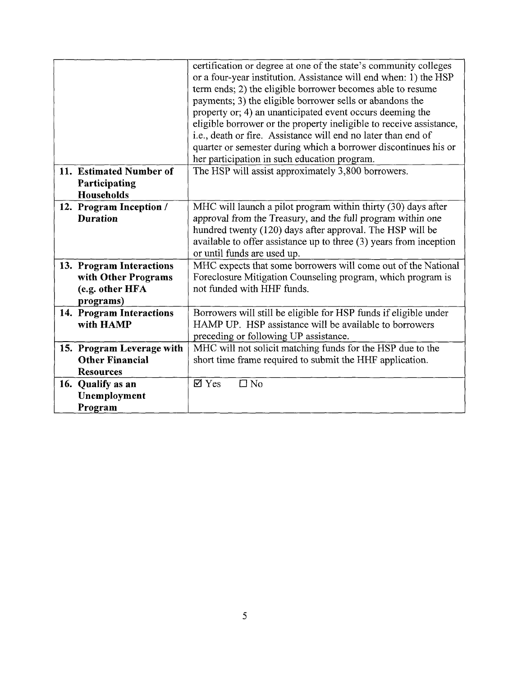|                                                        | certification or degree at one of the state's community colleges<br>or a four-year institution. Assistance will end when: 1) the HSP<br>term ends; 2) the eligible borrower becomes able to resume<br>payments; 3) the eligible borrower sells or abandons the<br>property or; 4) an unanticipated event occurs deeming the<br>eligible borrower or the property ineligible to receive assistance,<br>i.e., death or fire. Assistance will end no later than end of |
|--------------------------------------------------------|---------------------------------------------------------------------------------------------------------------------------------------------------------------------------------------------------------------------------------------------------------------------------------------------------------------------------------------------------------------------------------------------------------------------------------------------------------------------|
|                                                        | quarter or semester during which a borrower discontinues his or                                                                                                                                                                                                                                                                                                                                                                                                     |
|                                                        | her participation in such education program.                                                                                                                                                                                                                                                                                                                                                                                                                        |
| 11. Estimated Number of<br>Participating<br>Households | The HSP will assist approximately 3,800 borrowers.                                                                                                                                                                                                                                                                                                                                                                                                                  |
| 12. Program Inception /                                | MHC will launch a pilot program within thirty (30) days after                                                                                                                                                                                                                                                                                                                                                                                                       |
| <b>Duration</b>                                        | approval from the Treasury, and the full program within one<br>hundred twenty (120) days after approval. The HSP will be<br>available to offer assistance up to three $(3)$ years from inception                                                                                                                                                                                                                                                                    |
|                                                        | or until funds are used up.                                                                                                                                                                                                                                                                                                                                                                                                                                         |
| 13. Program Interactions                               | MHC expects that some borrowers will come out of the National                                                                                                                                                                                                                                                                                                                                                                                                       |
| with Other Programs                                    | Foreclosure Mitigation Counseling program, which program is                                                                                                                                                                                                                                                                                                                                                                                                         |
| (e.g. other HFA                                        | not funded with HHF funds.                                                                                                                                                                                                                                                                                                                                                                                                                                          |
| programs)                                              |                                                                                                                                                                                                                                                                                                                                                                                                                                                                     |
| 14. Program Interactions                               | Borrowers will still be eligible for HSP funds if eligible under                                                                                                                                                                                                                                                                                                                                                                                                    |
| with HAMP                                              | HAMP UP. HSP assistance will be available to borrowers                                                                                                                                                                                                                                                                                                                                                                                                              |
|                                                        | preceding or following UP assistance.                                                                                                                                                                                                                                                                                                                                                                                                                               |
| 15. Program Leverage with                              | MHC will not solicit matching funds for the HSP due to the                                                                                                                                                                                                                                                                                                                                                                                                          |
| <b>Other Financial</b>                                 | short time frame required to submit the HHF application.                                                                                                                                                                                                                                                                                                                                                                                                            |
| <b>Resources</b>                                       |                                                                                                                                                                                                                                                                                                                                                                                                                                                                     |
| 16. Qualify as an                                      | $\boxtimes$ Yes<br>$\square$ No                                                                                                                                                                                                                                                                                                                                                                                                                                     |
| Unemployment<br>Program                                |                                                                                                                                                                                                                                                                                                                                                                                                                                                                     |
|                                                        |                                                                                                                                                                                                                                                                                                                                                                                                                                                                     |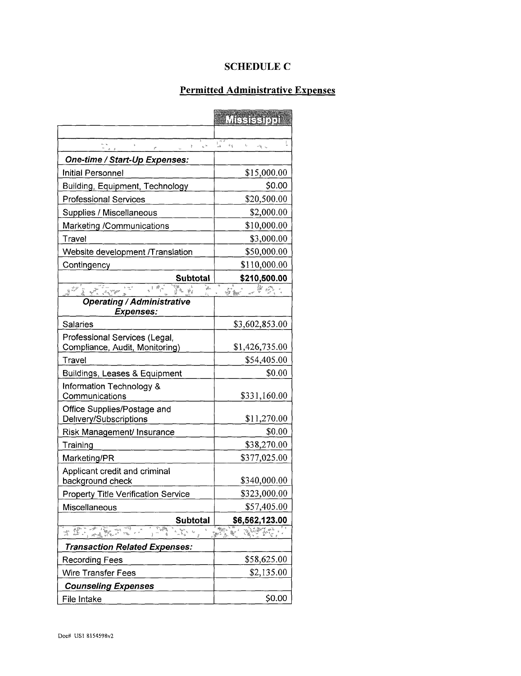## **SCHEDULE C**

## **Permitted Administrative Expenses**

|                                                                                                               | Mesteenou                                                                           |
|---------------------------------------------------------------------------------------------------------------|-------------------------------------------------------------------------------------|
|                                                                                                               |                                                                                     |
| $\begin{array}{c} \mathbf{w} \\ \mathbf{w} \\ \mathbf{w} \\ \mathbf{w} \end{array}$<br>$\mathbf{z}_c$ to<br>ł | $\mathbf{I}$<br>$\mathsf{L}_\ell$<br>$\sim$ 4 $\rm g$<br>erig i s                   |
| One-time / Start-Up Expenses:                                                                                 |                                                                                     |
| <b>Initial Personnel</b>                                                                                      | \$15,000.00                                                                         |
| <b>Building, Equipment, Technology</b>                                                                        | \$0.00                                                                              |
| <b>Professional Services</b>                                                                                  | \$20,500.00                                                                         |
| Supplies / Miscellaneous                                                                                      | \$2,000.00                                                                          |
| Marketing /Communications                                                                                     | \$10,000.00                                                                         |
| Travel                                                                                                        | \$3,000.00                                                                          |
| Website development /Translation                                                                              | \$50,000.00                                                                         |
| Contingency                                                                                                   | \$110,000.00                                                                        |
| <b>Subtotal</b>                                                                                               | \$210,500.00                                                                        |
| 17 14 海外<br>sti eferi<br>ได้ค                                                                                 | 愛観                                                                                  |
| <b>Operating / Administrative</b><br><b>Expenses:</b>                                                         |                                                                                     |
| Salaries                                                                                                      | \$3,602,853.00                                                                      |
| Professional Services (Legal,<br>Compliance, Audit, Monitoring)                                               | \$1,426,735.00                                                                      |
| Travel                                                                                                        | \$54,405.00                                                                         |
| Buildings, Leases & Equipment                                                                                 | \$0.00                                                                              |
| Information Technology &                                                                                      |                                                                                     |
| Communications                                                                                                | \$331,160.00                                                                        |
| Office Supplies/Postage and<br>Delivery/Subscriptions                                                         | \$11,270.00                                                                         |
| Risk Management/ Insurance                                                                                    | \$0.00                                                                              |
| Training                                                                                                      | \$38,270.00                                                                         |
| Marketing/PR                                                                                                  | \$377,025.00                                                                        |
| Applicant credit and criminal<br>background check                                                             | \$340,000.00                                                                        |
| <b>Property Title Verification Service</b>                                                                    | \$323,000.00                                                                        |
| Miscellaneous                                                                                                 | \$57,405.00                                                                         |
| <b>Subtotal</b>                                                                                               | \$6,562,123.00                                                                      |
| at it an<br>$\sim \sum_{\alpha} \gamma_{\alpha} \gamma_{\alpha}$ , $\gamma_{\alpha}$                          | रु<br>∷%ह<br>$\frac{d\mathcal{E}_{\mathcal{W}}}{dt}$ .<br>China.<br>Shi<br>V.<br>ļ. |
| <b>Transaction Related Expenses:</b>                                                                          |                                                                                     |
| <b>Recording Fees</b>                                                                                         | \$58,625.00                                                                         |
| <b>Wire Transfer Fees</b>                                                                                     | \$2,135.00                                                                          |
| <b>Counseling Expenses</b>                                                                                    |                                                                                     |
| File Intake                                                                                                   | \$0.00                                                                              |